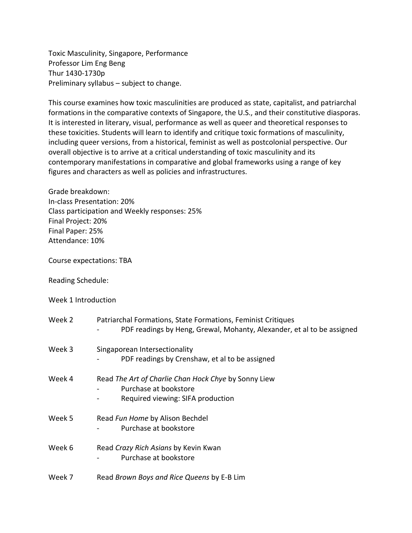Toxic Masculinity, Singapore, Performance Professor Lim Eng Beng Thur 1430-1730p Preliminary syllabus – subject to change.

This course examines how toxic masculinities are produced as state, capitalist, and patriarchal formations in the comparative contexts of Singapore, the U.S., and their constitutive diasporas. It is interested in literary, visual, performance as well as queer and theoretical responses to these toxicities. Students will learn to identify and critique toxic formations of masculinity, including queer versions, from a historical, feminist as well as postcolonial perspective. Our overall objective is to arrive at a critical understanding of toxic masculinity and its contemporary manifestations in comparative and global frameworks using a range of key figures and characters as well as policies and infrastructures.

Grade breakdown: In-class Presentation: 20% Class participation and Weekly responses: 25% Final Project: 20% Final Paper: 25% Attendance: 10%

Course expectations: TBA

Reading Schedule:

Week 1 Introduction

| Week 2 | Patriarchal Formations, State Formations, Feminist Critiques<br>PDF readings by Heng, Grewal, Mohanty, Alexander, et al to be assigned |
|--------|----------------------------------------------------------------------------------------------------------------------------------------|
| Week 3 | Singaporean Intersectionality<br>PDF readings by Crenshaw, et al to be assigned                                                        |
| Week 4 | Read The Art of Charlie Chan Hock Chye by Sonny Liew<br>Purchase at bookstore<br>Required viewing: SIFA production                     |
| Week 5 | Read Fun Home by Alison Bechdel<br>Purchase at bookstore                                                                               |
| Week 6 | Read Crazy Rich Asians by Kevin Kwan<br>Purchase at bookstore                                                                          |
| Week 7 | Read Brown Boys and Rice Queens by E-B Lim                                                                                             |